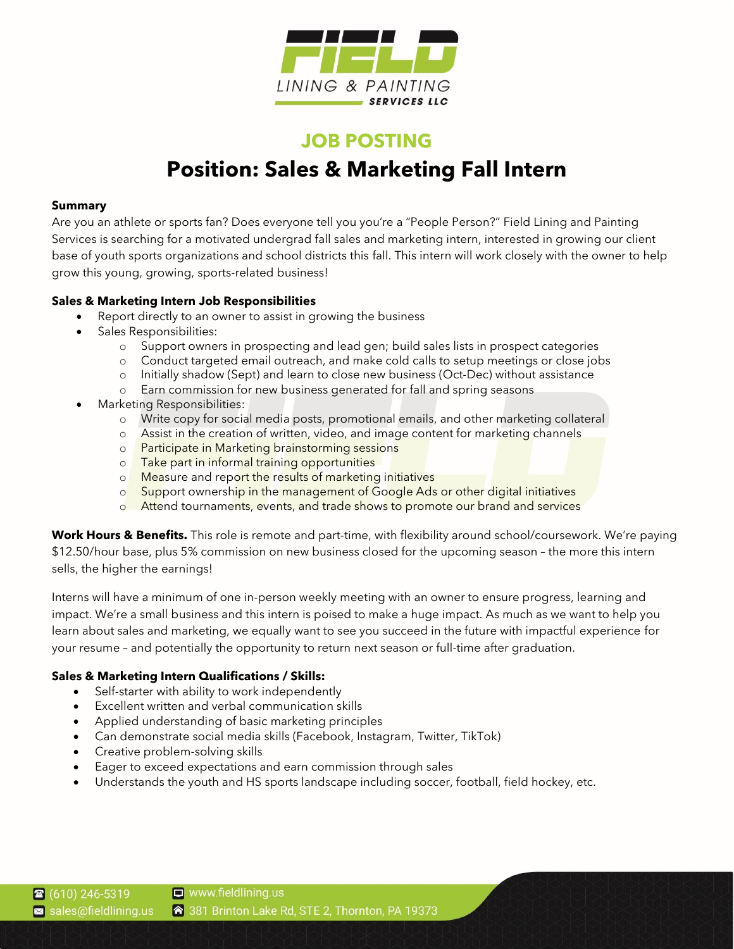

# **JOB POSTING Position: Sales & Marketing Fall Intern**

## **Summary**

Are you an athlete or sports fan? Does everyone tell you you're a "People Person?" Field Lining and Painting Services is searching for a motivated undergrad fall sales and marketing intern, interested in growing our client base of youth sports organizations and school districts this fall. This intern will work closely with the owner to help grow this young, growing, sports-related business!

## **Sales & Marketing Intern Job Responsibilities**

- Report directly to an owner to assist in growing the business
- Sales Responsibilities:
	- o Support owners in prospecting and lead gen; build sales lists in prospect categories
	- o Conduct targeted email outreach, and make cold calls to setup meetings or close jobs
	- o Initially shadow (Sept) and learn to close new business (Oct-Dec) without assistance
	- o Earn commission for new business generated for fall and spring seasons
- Marketing Responsibilities:
	- o Write copy for social media posts, promotional emails, and other marketing collateral
	- o Assist in the creation of written, video, and image content for marketing channels
	- o **Participate in Marketing brainstorming sessions**
	- o Take part in informal training opportunities
	- o Measure and report the results of marketing initiatives
	- o Support ownership in the management of Google Ads or other digital initiatives
	- o Attend tournaments, events, and trade shows to promote our brand and services

**Work Hours & Benefits.** This role is remote and part-time, with flexibility around school/coursework. We're paying \$12.50/hour base, plus 5% commission on new business closed for the upcoming season – the more this intern sells, the higher the earnings!

Interns will have a minimum of one in-person weekly meeting with an owner to ensure progress, learning and impact. We're a small business and this intern is poised to make a huge impact. As much as we want to help you learn about sales and marketing, we equally want to see you succeed in the future with impactful experience for your resume – and potentially the opportunity to return next season or full-time after graduation.

# **Sales & Marketing Intern Qualifications / Skills:**

- Self-starter with ability to work independently
- Excellent written and verbal communication skills
- Applied understanding of basic marketing principles
- Can demonstrate social media skills (Facebook, Instagram, Twitter, TikTok)
- Creative problem-solving skills
- Eager to exceed expectations and earn commission through sales
- Understands the youth and HS sports landscape including soccer, football, field hockey, etc.